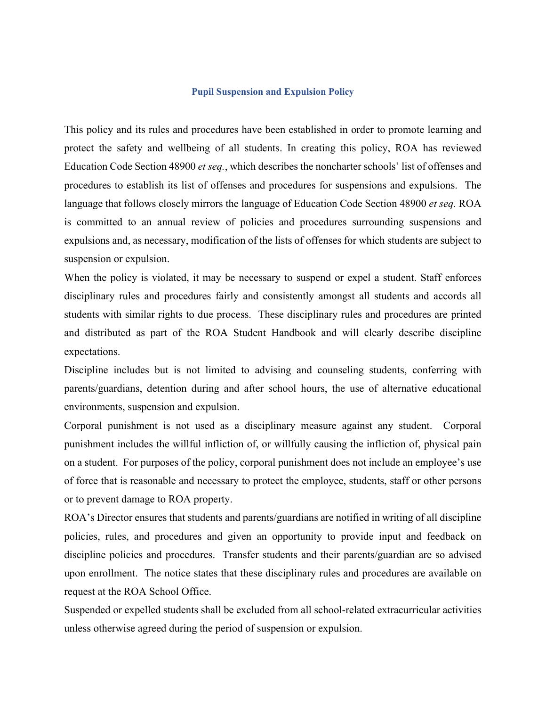#### **Pupil Suspension and Expulsion Policy**

This policy and its rules and procedures have been established in order to promote learning and protect the safety and wellbeing of all students. In creating this policy, ROA has reviewed Education Code Section 48900 *et seq.*, which describes the noncharter schools' list of offenses and procedures to establish its list of offenses and procedures for suspensions and expulsions. The language that follows closely mirrors the language of Education Code Section 48900 *et seq.* ROA is committed to an annual review of policies and procedures surrounding suspensions and expulsions and, as necessary, modification of the lists of offenses for which students are subject to suspension or expulsion.

When the policy is violated, it may be necessary to suspend or expel a student. Staff enforces disciplinary rules and procedures fairly and consistently amongst all students and accords all students with similar rights to due process. These disciplinary rules and procedures are printed and distributed as part of the ROA Student Handbook and will clearly describe discipline expectations.

Discipline includes but is not limited to advising and counseling students, conferring with parents/guardians, detention during and after school hours, the use of alternative educational environments, suspension and expulsion.

Corporal punishment is not used as a disciplinary measure against any student. Corporal punishment includes the willful infliction of, or willfully causing the infliction of, physical pain on a student. For purposes of the policy, corporal punishment does not include an employee's use of force that is reasonable and necessary to protect the employee, students, staff or other persons or to prevent damage to ROA property.

ROA's Director ensures that students and parents/guardians are notified in writing of all discipline policies, rules, and procedures and given an opportunity to provide input and feedback on discipline policies and procedures. Transfer students and their parents/guardian are so advised upon enrollment. The notice states that these disciplinary rules and procedures are available on request at the ROA School Office.

Suspended or expelled students shall be excluded from all school-related extracurricular activities unless otherwise agreed during the period of suspension or expulsion.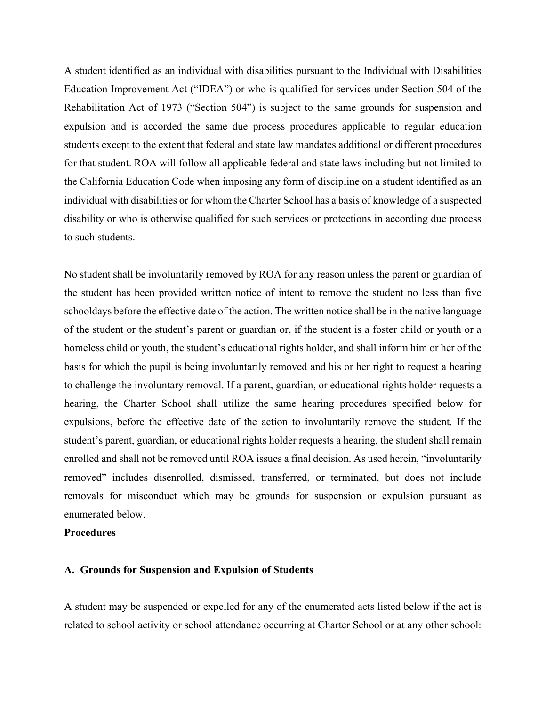A student identified as an individual with disabilities pursuant to the Individual with Disabilities Education Improvement Act ("IDEA") or who is qualified for services under Section 504 of the Rehabilitation Act of 1973 ("Section 504") is subject to the same grounds for suspension and expulsion and is accorded the same due process procedures applicable to regular education students except to the extent that federal and state law mandates additional or different procedures for that student. ROA will follow all applicable federal and state laws including but not limited to the California Education Code when imposing any form of discipline on a student identified as an individual with disabilities or for whom the Charter School has a basis of knowledge of a suspected disability or who is otherwise qualified for such services or protections in according due process to such students.

No student shall be involuntarily removed by ROA for any reason unless the parent or guardian of the student has been provided written notice of intent to remove the student no less than five schooldays before the effective date of the action. The written notice shall be in the native language of the student or the student's parent or guardian or, if the student is a foster child or youth or a homeless child or youth, the student's educational rights holder, and shall inform him or her of the basis for which the pupil is being involuntarily removed and his or her right to request a hearing to challenge the involuntary removal. If a parent, guardian, or educational rights holder requests a hearing, the Charter School shall utilize the same hearing procedures specified below for expulsions, before the effective date of the action to involuntarily remove the student. If the student's parent, guardian, or educational rights holder requests a hearing, the student shall remain enrolled and shall not be removed until ROA issues a final decision. As used herein, "involuntarily removed" includes disenrolled, dismissed, transferred, or terminated, but does not include removals for misconduct which may be grounds for suspension or expulsion pursuant as enumerated below.

## **Procedures**

#### **A. Grounds for Suspension and Expulsion of Students**

A student may be suspended or expelled for any of the enumerated acts listed below if the act is related to school activity or school attendance occurring at Charter School or at any other school: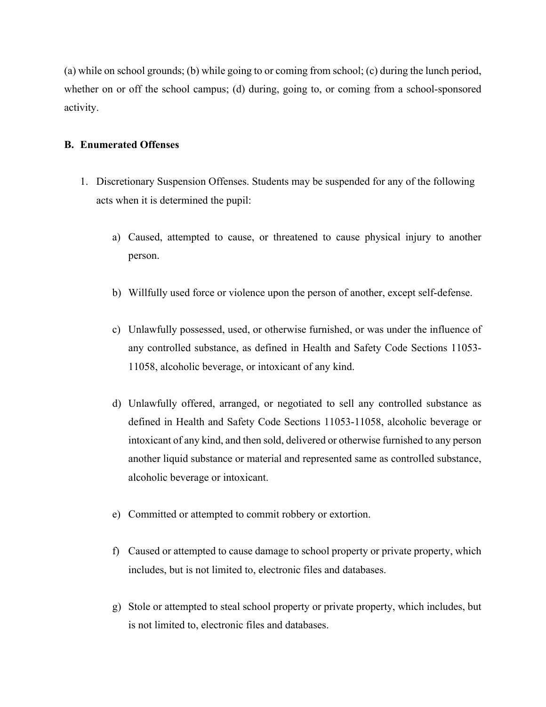(a) while on school grounds; (b) while going to or coming from school; (c) during the lunch period, whether on or off the school campus; (d) during, going to, or coming from a school-sponsored activity.

# **B. Enumerated Offenses**

- 1. Discretionary Suspension Offenses. Students may be suspended for any of the following acts when it is determined the pupil:
	- a) Caused, attempted to cause, or threatened to cause physical injury to another person.
	- b) Willfully used force or violence upon the person of another, except self-defense.
	- c) Unlawfully possessed, used, or otherwise furnished, or was under the influence of any controlled substance, as defined in Health and Safety Code Sections 11053- 11058, alcoholic beverage, or intoxicant of any kind.
	- d) Unlawfully offered, arranged, or negotiated to sell any controlled substance as defined in Health and Safety Code Sections 11053-11058, alcoholic beverage or intoxicant of any kind, and then sold, delivered or otherwise furnished to any person another liquid substance or material and represented same as controlled substance, alcoholic beverage or intoxicant.
	- e) Committed or attempted to commit robbery or extortion.
	- f) Caused or attempted to cause damage to school property or private property, which includes, but is not limited to, electronic files and databases.
	- g) Stole or attempted to steal school property or private property, which includes, but is not limited to, electronic files and databases.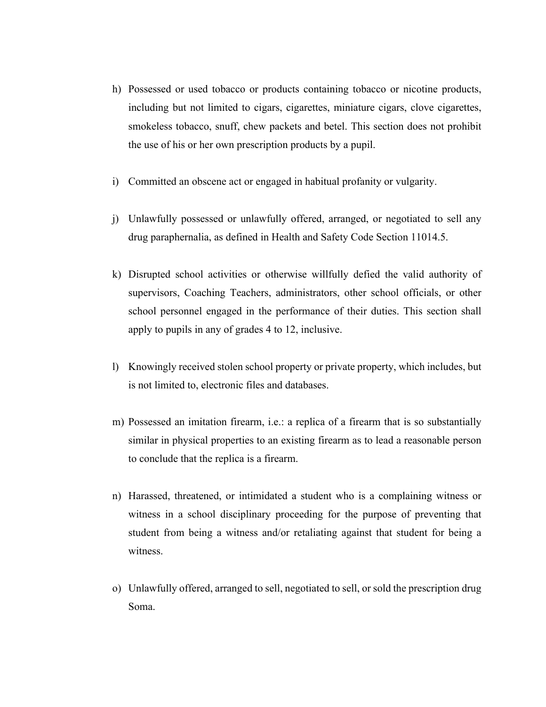- h) Possessed or used tobacco or products containing tobacco or nicotine products, including but not limited to cigars, cigarettes, miniature cigars, clove cigarettes, smokeless tobacco, snuff, chew packets and betel. This section does not prohibit the use of his or her own prescription products by a pupil.
- i) Committed an obscene act or engaged in habitual profanity or vulgarity.
- j) Unlawfully possessed or unlawfully offered, arranged, or negotiated to sell any drug paraphernalia, as defined in Health and Safety Code Section 11014.5.
- k) Disrupted school activities or otherwise willfully defied the valid authority of supervisors, Coaching Teachers, administrators, other school officials, or other school personnel engaged in the performance of their duties. This section shall apply to pupils in any of grades 4 to 12, inclusive.
- l) Knowingly received stolen school property or private property, which includes, but is not limited to, electronic files and databases.
- m) Possessed an imitation firearm, i.e.: a replica of a firearm that is so substantially similar in physical properties to an existing firearm as to lead a reasonable person to conclude that the replica is a firearm.
- n) Harassed, threatened, or intimidated a student who is a complaining witness or witness in a school disciplinary proceeding for the purpose of preventing that student from being a witness and/or retaliating against that student for being a witness.
- o) Unlawfully offered, arranged to sell, negotiated to sell, or sold the prescription drug Soma.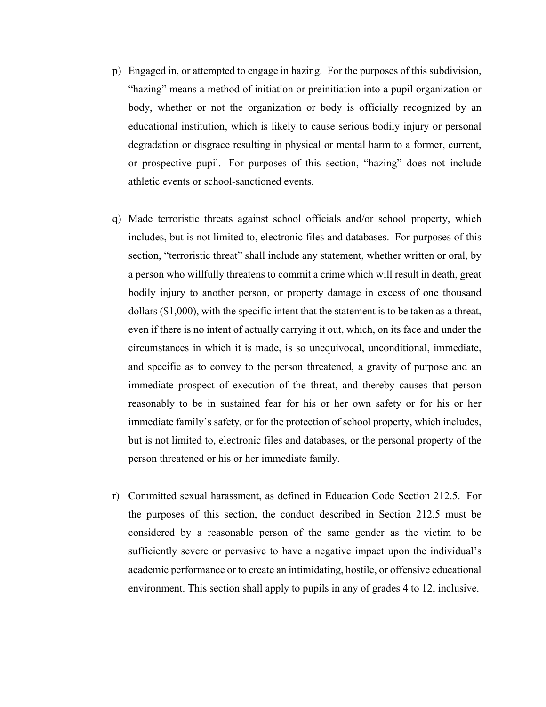- p) Engaged in, or attempted to engage in hazing. For the purposes of this subdivision, "hazing" means a method of initiation or preinitiation into a pupil organization or body, whether or not the organization or body is officially recognized by an educational institution, which is likely to cause serious bodily injury or personal degradation or disgrace resulting in physical or mental harm to a former, current, or prospective pupil. For purposes of this section, "hazing" does not include athletic events or school-sanctioned events.
- q) Made terroristic threats against school officials and/or school property, which includes, but is not limited to, electronic files and databases. For purposes of this section, "terroristic threat" shall include any statement, whether written or oral, by a person who willfully threatens to commit a crime which will result in death, great bodily injury to another person, or property damage in excess of one thousand dollars (\$1,000), with the specific intent that the statement is to be taken as a threat, even if there is no intent of actually carrying it out, which, on its face and under the circumstances in which it is made, is so unequivocal, unconditional, immediate, and specific as to convey to the person threatened, a gravity of purpose and an immediate prospect of execution of the threat, and thereby causes that person reasonably to be in sustained fear for his or her own safety or for his or her immediate family's safety, or for the protection of school property, which includes, but is not limited to, electronic files and databases, or the personal property of the person threatened or his or her immediate family.
- r) Committed sexual harassment, as defined in Education Code Section 212.5. For the purposes of this section, the conduct described in Section 212.5 must be considered by a reasonable person of the same gender as the victim to be sufficiently severe or pervasive to have a negative impact upon the individual's academic performance or to create an intimidating, hostile, or offensive educational environment. This section shall apply to pupils in any of grades 4 to 12, inclusive.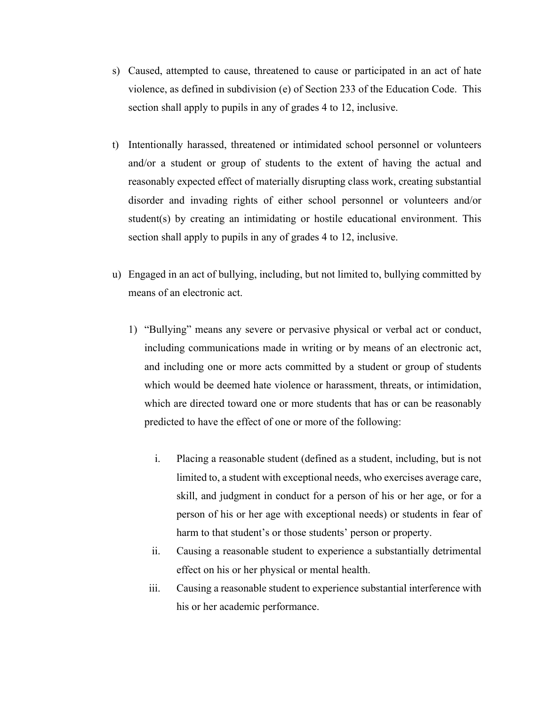- s) Caused, attempted to cause, threatened to cause or participated in an act of hate violence, as defined in subdivision (e) of Section 233 of the Education Code. This section shall apply to pupils in any of grades 4 to 12, inclusive.
- t) Intentionally harassed, threatened or intimidated school personnel or volunteers and/or a student or group of students to the extent of having the actual and reasonably expected effect of materially disrupting class work, creating substantial disorder and invading rights of either school personnel or volunteers and/or student(s) by creating an intimidating or hostile educational environment. This section shall apply to pupils in any of grades 4 to 12, inclusive.
- u) Engaged in an act of bullying, including, but not limited to, bullying committed by means of an electronic act.
	- 1) "Bullying" means any severe or pervasive physical or verbal act or conduct, including communications made in writing or by means of an electronic act, and including one or more acts committed by a student or group of students which would be deemed hate violence or harassment, threats, or intimidation, which are directed toward one or more students that has or can be reasonably predicted to have the effect of one or more of the following:
		- i. Placing a reasonable student (defined as a student, including, but is not limited to, a student with exceptional needs, who exercises average care, skill, and judgment in conduct for a person of his or her age, or for a person of his or her age with exceptional needs) or students in fear of harm to that student's or those students' person or property.
		- ii. Causing a reasonable student to experience a substantially detrimental effect on his or her physical or mental health.
		- iii. Causing a reasonable student to experience substantial interference with his or her academic performance.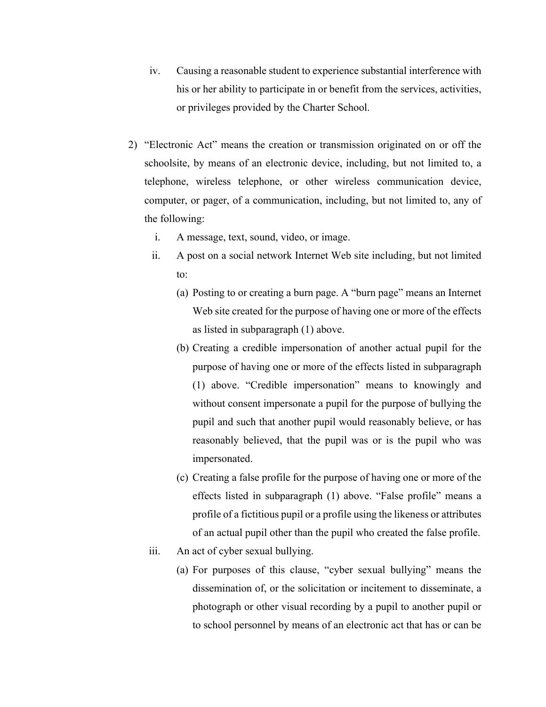- iv. Causing a reasonable student to experience substantial interference with his or her ability to participate in or benefit from the services, activities, or privileges provided by the Charter School.
- 2) "Electronic Act" means the creation or transmission originated on or off the schoolsite, by means of an electronic device, including, but not limited to, a telephone, wireless telephone, or other wireless communication device, computer, or pager, of a communication, including, but not limited to, any of the following:
	- i. A message, text, sound, video, or image.
	- ii. A post on a social network Internet Web site including, but not limited to:
		- (a) Posting to or creating a burn page. A "burn page" means an Internet Web site created for the purpose of having one or more of the effects as listed in subparagraph (1) above.
		- (b) Creating a credible impersonation of another actual pupil for the purpose of having one or more of the effects listed in subparagraph (1) above. "Credible impersonation" means to knowingly and without consent impersonate a pupil for the purpose of bullying the pupil and such that another pupil would reasonably believe, or has reasonably believed, that the pupil was or is the pupil who was impersonated.
		- (c) Creating a false profile for the purpose of having one or more of the effects listed in subparagraph (1) above. "False profile" means a profile of a fictitious pupil or a profile using the likeness or attributes of an actual pupil other than the pupil who created the false profile.
	- iii. An act of cyber sexual bullying.
		- (a) For purposes of this clause, "cyber sexual bullying" means the dissemination of, or the solicitation or incitement to disseminate, a photograph or other visual recording by a pupil to another pupil or to school personnel by means of an electronic act that has or can be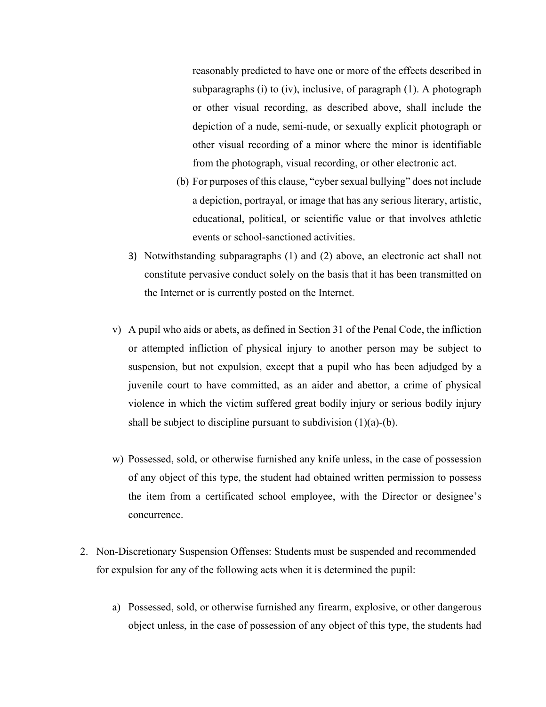reasonably predicted to have one or more of the effects described in subparagraphs (i) to (iv), inclusive, of paragraph (1). A photograph or other visual recording, as described above, shall include the depiction of a nude, semi-nude, or sexually explicit photograph or other visual recording of a minor where the minor is identifiable from the photograph, visual recording, or other electronic act.

- (b) For purposes of this clause, "cyber sexual bullying" does not include a depiction, portrayal, or image that has any serious literary, artistic, educational, political, or scientific value or that involves athletic events or school-sanctioned activities.
- 3) Notwithstanding subparagraphs (1) and (2) above, an electronic act shall not constitute pervasive conduct solely on the basis that it has been transmitted on the Internet or is currently posted on the Internet.
- v) A pupil who aids or abets, as defined in Section 31 of the Penal Code, the infliction or attempted infliction of physical injury to another person may be subject to suspension, but not expulsion, except that a pupil who has been adjudged by a juvenile court to have committed, as an aider and abettor, a crime of physical violence in which the victim suffered great bodily injury or serious bodily injury shall be subject to discipline pursuant to subdivision  $(1)(a)-(b)$ .
- w) Possessed, sold, or otherwise furnished any knife unless, in the case of possession of any object of this type, the student had obtained written permission to possess the item from a certificated school employee, with the Director or designee's concurrence.
- 2. Non-Discretionary Suspension Offenses: Students must be suspended and recommended for expulsion for any of the following acts when it is determined the pupil:
	- a) Possessed, sold, or otherwise furnished any firearm, explosive, or other dangerous object unless, in the case of possession of any object of this type, the students had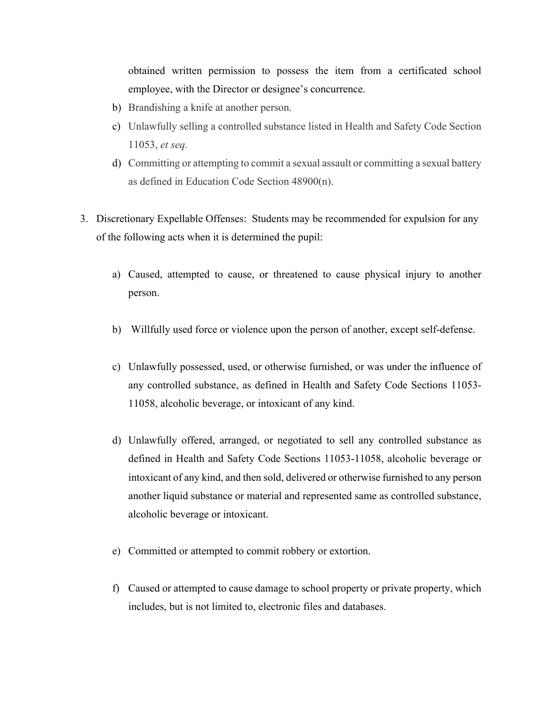obtained written permission to possess the item from a certificated school employee, with the Director or designee's concurrence.

- b) Brandishing a knife at another person.
- c) Unlawfully selling a controlled substance listed in Health and Safety Code Section 11053, *et seq.*
- d) Committing or attempting to commit a sexual assault or committing a sexual battery as defined in Education Code Section 48900(n).
- 3. Discretionary Expellable Offenses: Students may be recommended for expulsion for any of the following acts when it is determined the pupil:
	- a) Caused, attempted to cause, or threatened to cause physical injury to another person.
	- b) Willfully used force or violence upon the person of another, except self-defense.
	- c) Unlawfully possessed, used, or otherwise furnished, or was under the influence of any controlled substance, as defined in Health and Safety Code Sections 11053- 11058, alcoholic beverage, or intoxicant of any kind.
	- d) Unlawfully offered, arranged, or negotiated to sell any controlled substance as defined in Health and Safety Code Sections 11053-11058, alcoholic beverage or intoxicant of any kind, and then sold, delivered or otherwise furnished to any person another liquid substance or material and represented same as controlled substance, alcoholic beverage or intoxicant.
	- e) Committed or attempted to commit robbery or extortion.
	- f) Caused or attempted to cause damage to school property or private property, which includes, but is not limited to, electronic files and databases.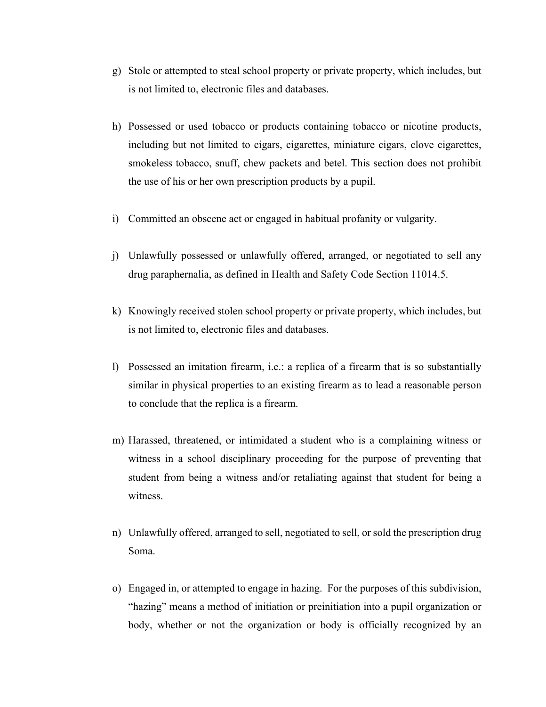- g) Stole or attempted to steal school property or private property, which includes, but is not limited to, electronic files and databases.
- h) Possessed or used tobacco or products containing tobacco or nicotine products, including but not limited to cigars, cigarettes, miniature cigars, clove cigarettes, smokeless tobacco, snuff, chew packets and betel. This section does not prohibit the use of his or her own prescription products by a pupil.
- i) Committed an obscene act or engaged in habitual profanity or vulgarity.
- j) Unlawfully possessed or unlawfully offered, arranged, or negotiated to sell any drug paraphernalia, as defined in Health and Safety Code Section 11014.5.
- k) Knowingly received stolen school property or private property, which includes, but is not limited to, electronic files and databases.
- l) Possessed an imitation firearm, i.e.: a replica of a firearm that is so substantially similar in physical properties to an existing firearm as to lead a reasonable person to conclude that the replica is a firearm.
- m) Harassed, threatened, or intimidated a student who is a complaining witness or witness in a school disciplinary proceeding for the purpose of preventing that student from being a witness and/or retaliating against that student for being a witness.
- n) Unlawfully offered, arranged to sell, negotiated to sell, or sold the prescription drug Soma.
- o) Engaged in, or attempted to engage in hazing. For the purposes of this subdivision, "hazing" means a method of initiation or preinitiation into a pupil organization or body, whether or not the organization or body is officially recognized by an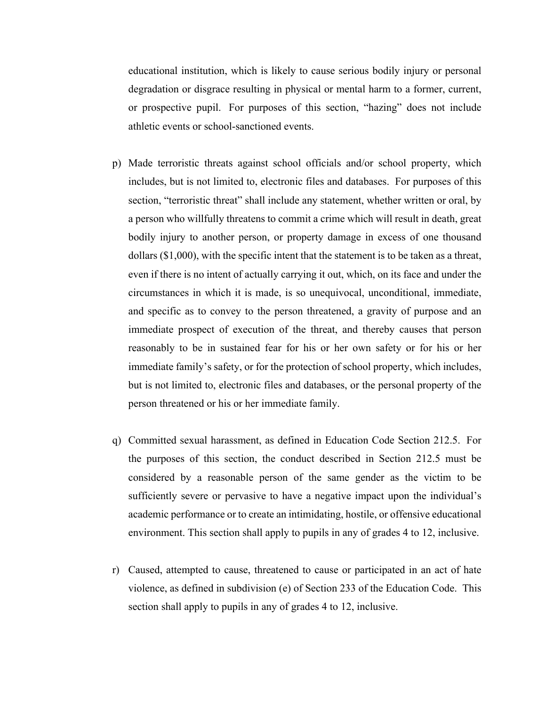educational institution, which is likely to cause serious bodily injury or personal degradation or disgrace resulting in physical or mental harm to a former, current, or prospective pupil. For purposes of this section, "hazing" does not include athletic events or school-sanctioned events.

- p) Made terroristic threats against school officials and/or school property, which includes, but is not limited to, electronic files and databases. For purposes of this section, "terroristic threat" shall include any statement, whether written or oral, by a person who willfully threatens to commit a crime which will result in death, great bodily injury to another person, or property damage in excess of one thousand dollars (\$1,000), with the specific intent that the statement is to be taken as a threat, even if there is no intent of actually carrying it out, which, on its face and under the circumstances in which it is made, is so unequivocal, unconditional, immediate, and specific as to convey to the person threatened, a gravity of purpose and an immediate prospect of execution of the threat, and thereby causes that person reasonably to be in sustained fear for his or her own safety or for his or her immediate family's safety, or for the protection of school property, which includes, but is not limited to, electronic files and databases, or the personal property of the person threatened or his or her immediate family.
- q) Committed sexual harassment, as defined in Education Code Section 212.5. For the purposes of this section, the conduct described in Section 212.5 must be considered by a reasonable person of the same gender as the victim to be sufficiently severe or pervasive to have a negative impact upon the individual's academic performance or to create an intimidating, hostile, or offensive educational environment. This section shall apply to pupils in any of grades 4 to 12, inclusive.
- r) Caused, attempted to cause, threatened to cause or participated in an act of hate violence, as defined in subdivision (e) of Section 233 of the Education Code. This section shall apply to pupils in any of grades 4 to 12, inclusive.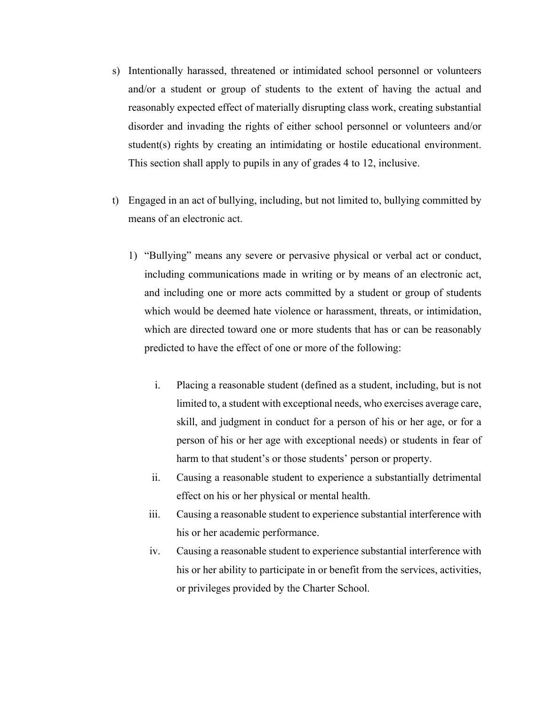- s) Intentionally harassed, threatened or intimidated school personnel or volunteers and/or a student or group of students to the extent of having the actual and reasonably expected effect of materially disrupting class work, creating substantial disorder and invading the rights of either school personnel or volunteers and/or student(s) rights by creating an intimidating or hostile educational environment. This section shall apply to pupils in any of grades 4 to 12, inclusive.
- t) Engaged in an act of bullying, including, but not limited to, bullying committed by means of an electronic act.
	- 1) "Bullying" means any severe or pervasive physical or verbal act or conduct, including communications made in writing or by means of an electronic act, and including one or more acts committed by a student or group of students which would be deemed hate violence or harassment, threats, or intimidation, which are directed toward one or more students that has or can be reasonably predicted to have the effect of one or more of the following:
		- i. Placing a reasonable student (defined as a student, including, but is not limited to, a student with exceptional needs, who exercises average care, skill, and judgment in conduct for a person of his or her age, or for a person of his or her age with exceptional needs) or students in fear of harm to that student's or those students' person or property.
		- ii. Causing a reasonable student to experience a substantially detrimental effect on his or her physical or mental health.
		- iii. Causing a reasonable student to experience substantial interference with his or her academic performance.
		- iv. Causing a reasonable student to experience substantial interference with his or her ability to participate in or benefit from the services, activities, or privileges provided by the Charter School.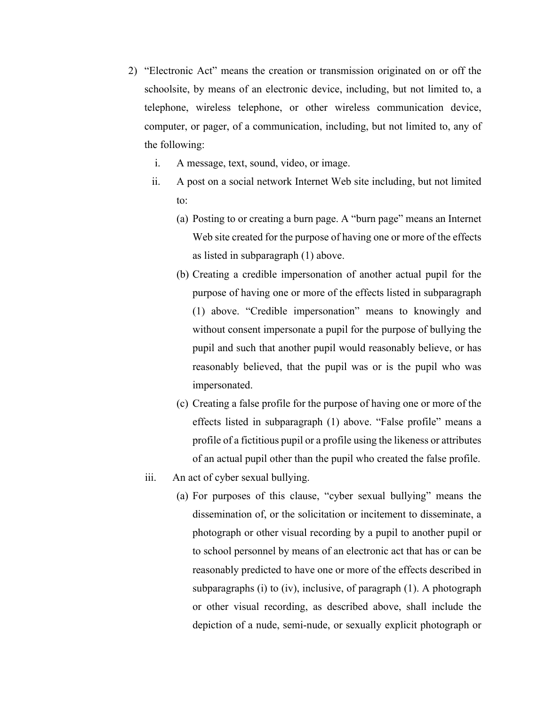- 2) "Electronic Act" means the creation or transmission originated on or off the schoolsite, by means of an electronic device, including, but not limited to, a telephone, wireless telephone, or other wireless communication device, computer, or pager, of a communication, including, but not limited to, any of the following:
	- i. A message, text, sound, video, or image.
	- ii. A post on a social network Internet Web site including, but not limited to:
		- (a) Posting to or creating a burn page. A "burn page" means an Internet Web site created for the purpose of having one or more of the effects as listed in subparagraph (1) above.
		- (b) Creating a credible impersonation of another actual pupil for the purpose of having one or more of the effects listed in subparagraph (1) above. "Credible impersonation" means to knowingly and without consent impersonate a pupil for the purpose of bullying the pupil and such that another pupil would reasonably believe, or has reasonably believed, that the pupil was or is the pupil who was impersonated.
		- (c) Creating a false profile for the purpose of having one or more of the effects listed in subparagraph (1) above. "False profile" means a profile of a fictitious pupil or a profile using the likeness or attributes of an actual pupil other than the pupil who created the false profile.
	- iii. An act of cyber sexual bullying.
		- (a) For purposes of this clause, "cyber sexual bullying" means the dissemination of, or the solicitation or incitement to disseminate, a photograph or other visual recording by a pupil to another pupil or to school personnel by means of an electronic act that has or can be reasonably predicted to have one or more of the effects described in subparagraphs (i) to (iv), inclusive, of paragraph (1). A photograph or other visual recording, as described above, shall include the depiction of a nude, semi-nude, or sexually explicit photograph or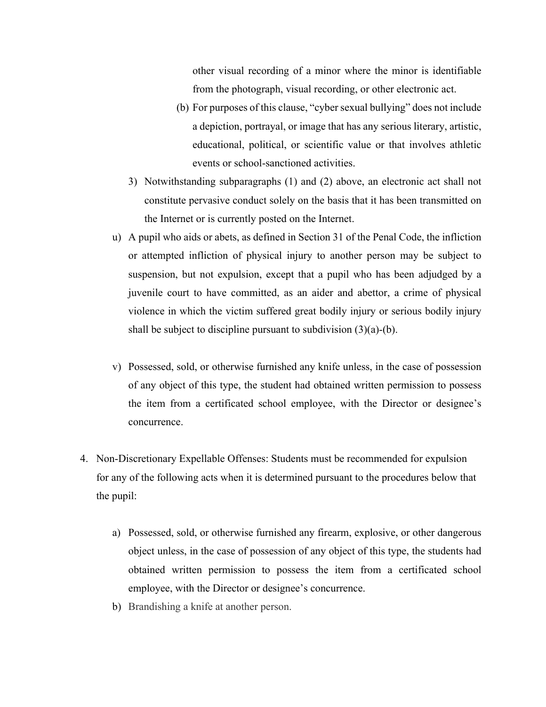other visual recording of a minor where the minor is identifiable from the photograph, visual recording, or other electronic act.

- (b) For purposes of this clause, "cyber sexual bullying" does not include a depiction, portrayal, or image that has any serious literary, artistic, educational, political, or scientific value or that involves athletic events or school-sanctioned activities.
- 3) Notwithstanding subparagraphs (1) and (2) above, an electronic act shall not constitute pervasive conduct solely on the basis that it has been transmitted on the Internet or is currently posted on the Internet.
- u) A pupil who aids or abets, as defined in Section 31 of the Penal Code, the infliction or attempted infliction of physical injury to another person may be subject to suspension, but not expulsion, except that a pupil who has been adjudged by a juvenile court to have committed, as an aider and abettor, a crime of physical violence in which the victim suffered great bodily injury or serious bodily injury shall be subject to discipline pursuant to subdivision (3)(a)-(b).
- v) Possessed, sold, or otherwise furnished any knife unless, in the case of possession of any object of this type, the student had obtained written permission to possess the item from a certificated school employee, with the Director or designee's concurrence.
- 4. Non-Discretionary Expellable Offenses: Students must be recommended for expulsion for any of the following acts when it is determined pursuant to the procedures below that the pupil:
	- a) Possessed, sold, or otherwise furnished any firearm, explosive, or other dangerous object unless, in the case of possession of any object of this type, the students had obtained written permission to possess the item from a certificated school employee, with the Director or designee's concurrence.
	- b) Brandishing a knife at another person.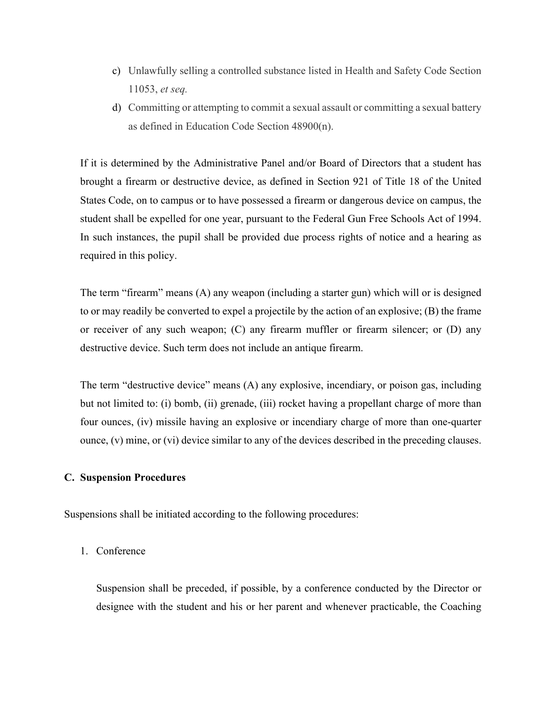- c) Unlawfully selling a controlled substance listed in Health and Safety Code Section 11053, *et seq.*
- d) Committing or attempting to commit a sexual assault or committing a sexual battery as defined in Education Code Section 48900(n).

If it is determined by the Administrative Panel and/or Board of Directors that a student has brought a firearm or destructive device, as defined in Section 921 of Title 18 of the United States Code, on to campus or to have possessed a firearm or dangerous device on campus, the student shall be expelled for one year, pursuant to the Federal Gun Free Schools Act of 1994. In such instances, the pupil shall be provided due process rights of notice and a hearing as required in this policy.

The term "firearm" means (A) any weapon (including a starter gun) which will or is designed to or may readily be converted to expel a projectile by the action of an explosive; (B) the frame or receiver of any such weapon; (C) any firearm muffler or firearm silencer; or (D) any destructive device. Such term does not include an antique firearm.

The term "destructive device" means (A) any explosive, incendiary, or poison gas, including but not limited to: (i) bomb, (ii) grenade, (iii) rocket having a propellant charge of more than four ounces, (iv) missile having an explosive or incendiary charge of more than one-quarter ounce, (v) mine, or (vi) device similar to any of the devices described in the preceding clauses.

## **C. Suspension Procedures**

Suspensions shall be initiated according to the following procedures:

# 1. Conference

Suspension shall be preceded, if possible, by a conference conducted by the Director or designee with the student and his or her parent and whenever practicable, the Coaching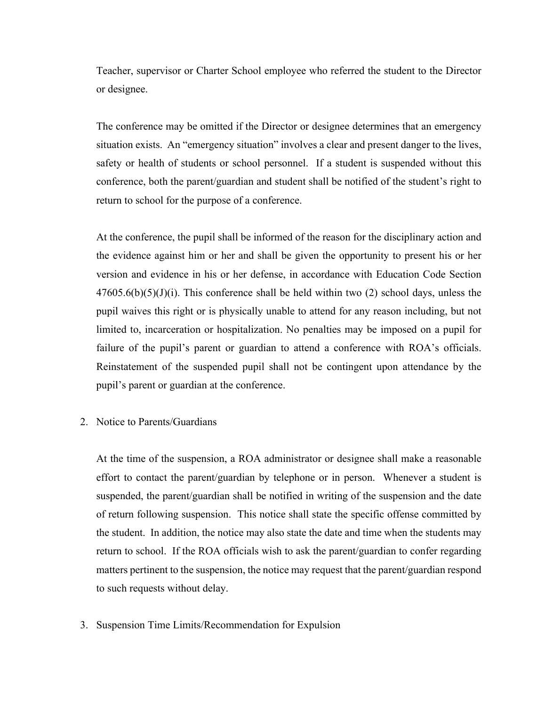Teacher, supervisor or Charter School employee who referred the student to the Director or designee.

The conference may be omitted if the Director or designee determines that an emergency situation exists. An "emergency situation" involves a clear and present danger to the lives, safety or health of students or school personnel. If a student is suspended without this conference, both the parent/guardian and student shall be notified of the student's right to return to school for the purpose of a conference.

At the conference, the pupil shall be informed of the reason for the disciplinary action and the evidence against him or her and shall be given the opportunity to present his or her version and evidence in his or her defense, in accordance with Education Code Section  $47605.6(b)(5)(J)(i)$ . This conference shall be held within two (2) school days, unless the pupil waives this right or is physically unable to attend for any reason including, but not limited to, incarceration or hospitalization. No penalties may be imposed on a pupil for failure of the pupil's parent or guardian to attend a conference with ROA's officials. Reinstatement of the suspended pupil shall not be contingent upon attendance by the pupil's parent or guardian at the conference.

2. Notice to Parents/Guardians

At the time of the suspension, a ROA administrator or designee shall make a reasonable effort to contact the parent/guardian by telephone or in person. Whenever a student is suspended, the parent/guardian shall be notified in writing of the suspension and the date of return following suspension. This notice shall state the specific offense committed by the student. In addition, the notice may also state the date and time when the students may return to school. If the ROA officials wish to ask the parent/guardian to confer regarding matters pertinent to the suspension, the notice may request that the parent/guardian respond to such requests without delay.

3. Suspension Time Limits/Recommendation for Expulsion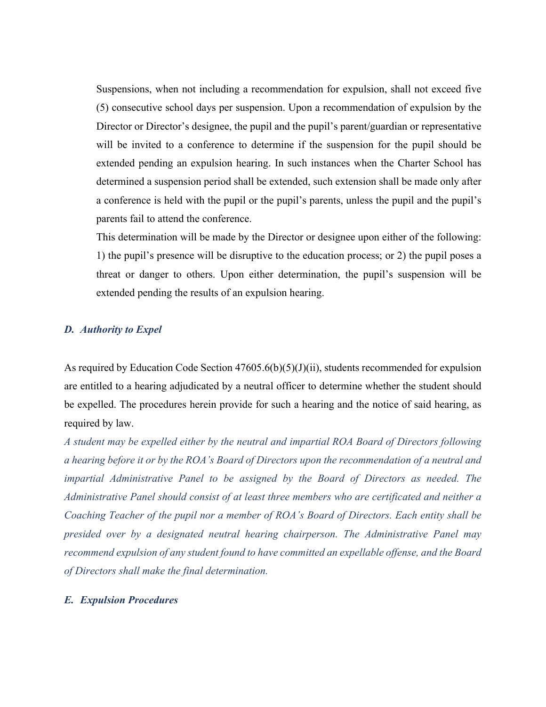Suspensions, when not including a recommendation for expulsion, shall not exceed five (5) consecutive school days per suspension. Upon a recommendation of expulsion by the Director or Director's designee, the pupil and the pupil's parent/guardian or representative will be invited to a conference to determine if the suspension for the pupil should be extended pending an expulsion hearing. In such instances when the Charter School has determined a suspension period shall be extended, such extension shall be made only after a conference is held with the pupil or the pupil's parents, unless the pupil and the pupil's parents fail to attend the conference.

This determination will be made by the Director or designee upon either of the following: 1) the pupil's presence will be disruptive to the education process; or 2) the pupil poses a threat or danger to others. Upon either determination, the pupil's suspension will be extended pending the results of an expulsion hearing.

# *D. Authority to Expel*

As required by Education Code Section  $47605.6(b)(5)(J)(ii)$ , students recommended for expulsion are entitled to a hearing adjudicated by a neutral officer to determine whether the student should be expelled. The procedures herein provide for such a hearing and the notice of said hearing, as required by law.

*A student may be expelled either by the neutral and impartial ROA Board of Directors following a hearing before it or by the ROA's Board of Directors upon the recommendation of a neutral and impartial Administrative Panel to be assigned by the Board of Directors as needed. The Administrative Panel should consist of at least three members who are certificated and neither a Coaching Teacher of the pupil nor a member of ROA's Board of Directors. Each entity shall be presided over by a designated neutral hearing chairperson. The Administrative Panel may recommend expulsion of any student found to have committed an expellable offense, and the Board of Directors shall make the final determination.*

#### *E. Expulsion Procedures*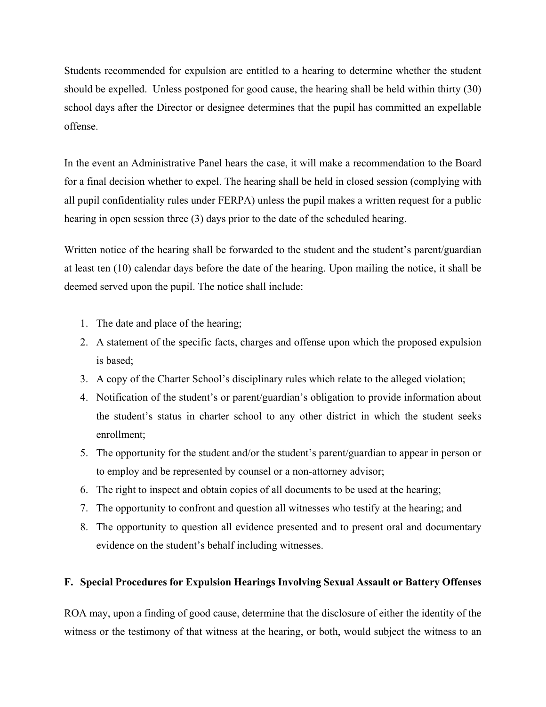Students recommended for expulsion are entitled to a hearing to determine whether the student should be expelled. Unless postponed for good cause, the hearing shall be held within thirty (30) school days after the Director or designee determines that the pupil has committed an expellable offense.

In the event an Administrative Panel hears the case, it will make a recommendation to the Board for a final decision whether to expel. The hearing shall be held in closed session (complying with all pupil confidentiality rules under FERPA) unless the pupil makes a written request for a public hearing in open session three (3) days prior to the date of the scheduled hearing.

Written notice of the hearing shall be forwarded to the student and the student's parent/guardian at least ten (10) calendar days before the date of the hearing. Upon mailing the notice, it shall be deemed served upon the pupil. The notice shall include:

- 1. The date and place of the hearing;
- 2. A statement of the specific facts, charges and offense upon which the proposed expulsion is based;
- 3. A copy of the Charter School's disciplinary rules which relate to the alleged violation;
- 4. Notification of the student's or parent/guardian's obligation to provide information about the student's status in charter school to any other district in which the student seeks enrollment;
- 5. The opportunity for the student and/or the student's parent/guardian to appear in person or to employ and be represented by counsel or a non-attorney advisor;
- 6. The right to inspect and obtain copies of all documents to be used at the hearing;
- 7. The opportunity to confront and question all witnesses who testify at the hearing; and
- 8. The opportunity to question all evidence presented and to present oral and documentary evidence on the student's behalf including witnesses.

# **F. Special Procedures for Expulsion Hearings Involving Sexual Assault or Battery Offenses**

ROA may, upon a finding of good cause, determine that the disclosure of either the identity of the witness or the testimony of that witness at the hearing, or both, would subject the witness to an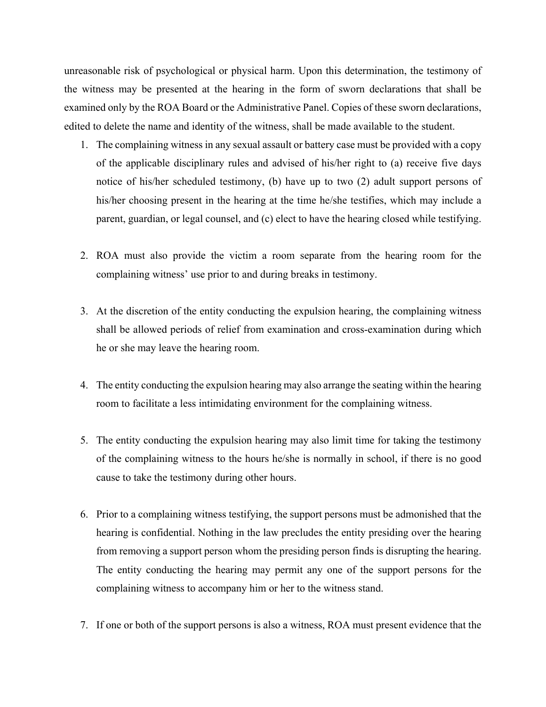unreasonable risk of psychological or physical harm. Upon this determination, the testimony of the witness may be presented at the hearing in the form of sworn declarations that shall be examined only by the ROA Board or the Administrative Panel. Copies of these sworn declarations, edited to delete the name and identity of the witness, shall be made available to the student.

- 1. The complaining witness in any sexual assault or battery case must be provided with a copy of the applicable disciplinary rules and advised of his/her right to (a) receive five days notice of his/her scheduled testimony, (b) have up to two (2) adult support persons of his/her choosing present in the hearing at the time he/she testifies, which may include a parent, guardian, or legal counsel, and (c) elect to have the hearing closed while testifying.
- 2. ROA must also provide the victim a room separate from the hearing room for the complaining witness' use prior to and during breaks in testimony.
- 3. At the discretion of the entity conducting the expulsion hearing, the complaining witness shall be allowed periods of relief from examination and cross-examination during which he or she may leave the hearing room.
- 4. The entity conducting the expulsion hearing may also arrange the seating within the hearing room to facilitate a less intimidating environment for the complaining witness.
- 5. The entity conducting the expulsion hearing may also limit time for taking the testimony of the complaining witness to the hours he/she is normally in school, if there is no good cause to take the testimony during other hours.
- 6. Prior to a complaining witness testifying, the support persons must be admonished that the hearing is confidential. Nothing in the law precludes the entity presiding over the hearing from removing a support person whom the presiding person finds is disrupting the hearing. The entity conducting the hearing may permit any one of the support persons for the complaining witness to accompany him or her to the witness stand.
- 7. If one or both of the support persons is also a witness, ROA must present evidence that the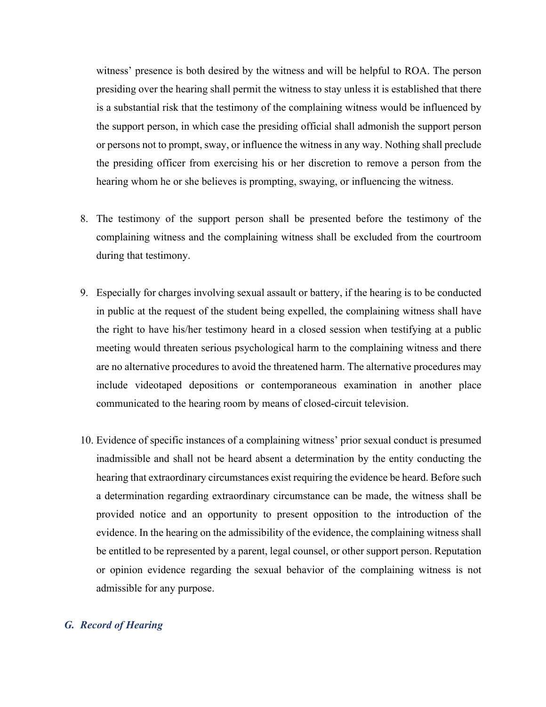witness' presence is both desired by the witness and will be helpful to ROA. The person presiding over the hearing shall permit the witness to stay unless it is established that there is a substantial risk that the testimony of the complaining witness would be influenced by the support person, in which case the presiding official shall admonish the support person or persons not to prompt, sway, or influence the witness in any way. Nothing shall preclude the presiding officer from exercising his or her discretion to remove a person from the hearing whom he or she believes is prompting, swaying, or influencing the witness.

- 8. The testimony of the support person shall be presented before the testimony of the complaining witness and the complaining witness shall be excluded from the courtroom during that testimony.
- 9. Especially for charges involving sexual assault or battery, if the hearing is to be conducted in public at the request of the student being expelled, the complaining witness shall have the right to have his/her testimony heard in a closed session when testifying at a public meeting would threaten serious psychological harm to the complaining witness and there are no alternative procedures to avoid the threatened harm. The alternative procedures may include videotaped depositions or contemporaneous examination in another place communicated to the hearing room by means of closed-circuit television.
- 10. Evidence of specific instances of a complaining witness' prior sexual conduct is presumed inadmissible and shall not be heard absent a determination by the entity conducting the hearing that extraordinary circumstances exist requiring the evidence be heard. Before such a determination regarding extraordinary circumstance can be made, the witness shall be provided notice and an opportunity to present opposition to the introduction of the evidence. In the hearing on the admissibility of the evidence, the complaining witness shall be entitled to be represented by a parent, legal counsel, or other support person. Reputation or opinion evidence regarding the sexual behavior of the complaining witness is not admissible for any purpose.

# *G. Record of Hearing*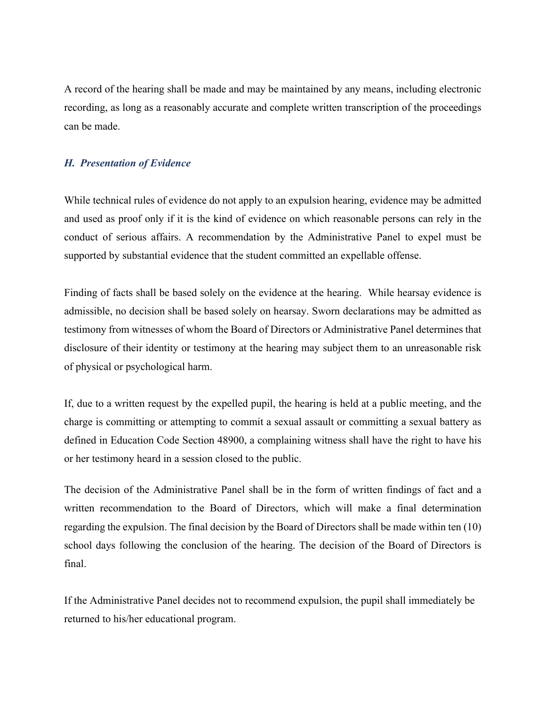A record of the hearing shall be made and may be maintained by any means, including electronic recording, as long as a reasonably accurate and complete written transcription of the proceedings can be made.

# *H. Presentation of Evidence*

While technical rules of evidence do not apply to an expulsion hearing, evidence may be admitted and used as proof only if it is the kind of evidence on which reasonable persons can rely in the conduct of serious affairs. A recommendation by the Administrative Panel to expel must be supported by substantial evidence that the student committed an expellable offense.

Finding of facts shall be based solely on the evidence at the hearing. While hearsay evidence is admissible, no decision shall be based solely on hearsay. Sworn declarations may be admitted as testimony from witnesses of whom the Board of Directors or Administrative Panel determines that disclosure of their identity or testimony at the hearing may subject them to an unreasonable risk of physical or psychological harm.

If, due to a written request by the expelled pupil, the hearing is held at a public meeting, and the charge is committing or attempting to commit a sexual assault or committing a sexual battery as defined in Education Code Section 48900, a complaining witness shall have the right to have his or her testimony heard in a session closed to the public.

The decision of the Administrative Panel shall be in the form of written findings of fact and a written recommendation to the Board of Directors, which will make a final determination regarding the expulsion. The final decision by the Board of Directors shall be made within ten (10) school days following the conclusion of the hearing. The decision of the Board of Directors is final.

If the Administrative Panel decides not to recommend expulsion, the pupil shall immediately be returned to his/her educational program.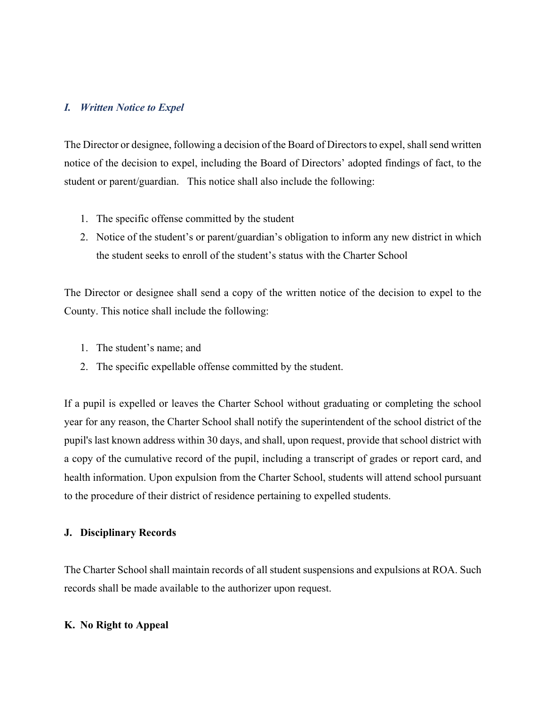# *I. Written Notice to Expel*

The Director or designee, following a decision of the Board of Directors to expel, shall send written notice of the decision to expel, including the Board of Directors' adopted findings of fact, to the student or parent/guardian. This notice shall also include the following:

- 1. The specific offense committed by the student
- 2. Notice of the student's or parent/guardian's obligation to inform any new district in which the student seeks to enroll of the student's status with the Charter School

The Director or designee shall send a copy of the written notice of the decision to expel to the County. This notice shall include the following:

- 1. The student's name; and
- 2. The specific expellable offense committed by the student.

If a pupil is expelled or leaves the Charter School without graduating or completing the school year for any reason, the Charter School shall notify the superintendent of the school district of the pupil's last known address within 30 days, and shall, upon request, provide that school district with a copy of the cumulative record of the pupil, including a transcript of grades or report card, and health information. Upon expulsion from the Charter School, students will attend school pursuant to the procedure of their district of residence pertaining to expelled students.

#### **J. Disciplinary Records**

The Charter School shall maintain records of all student suspensions and expulsions at ROA. Such records shall be made available to the authorizer upon request.

#### **K. No Right to Appeal**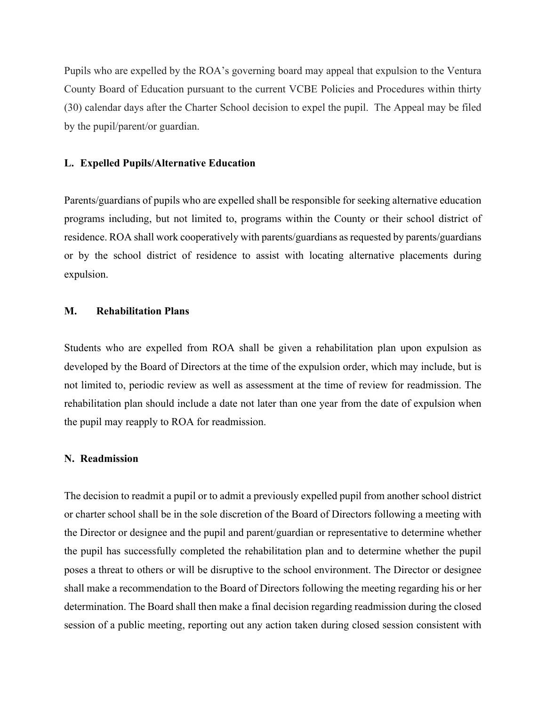Pupils who are expelled by the ROA's governing board may appeal that expulsion to the Ventura County Board of Education pursuant to the current VCBE Policies and Procedures within thirty (30) calendar days after the Charter School decision to expel the pupil. The Appeal may be filed by the pupil/parent/or guardian.

#### **L. Expelled Pupils/Alternative Education**

Parents/guardians of pupils who are expelled shall be responsible for seeking alternative education programs including, but not limited to, programs within the County or their school district of residence. ROA shall work cooperatively with parents/guardians as requested by parents/guardians or by the school district of residence to assist with locating alternative placements during expulsion.

# **M. Rehabilitation Plans**

Students who are expelled from ROA shall be given a rehabilitation plan upon expulsion as developed by the Board of Directors at the time of the expulsion order, which may include, but is not limited to, periodic review as well as assessment at the time of review for readmission. The rehabilitation plan should include a date not later than one year from the date of expulsion when the pupil may reapply to ROA for readmission.

#### **N. Readmission**

The decision to readmit a pupil or to admit a previously expelled pupil from another school district or charter school shall be in the sole discretion of the Board of Directors following a meeting with the Director or designee and the pupil and parent/guardian or representative to determine whether the pupil has successfully completed the rehabilitation plan and to determine whether the pupil poses a threat to others or will be disruptive to the school environment. The Director or designee shall make a recommendation to the Board of Directors following the meeting regarding his or her determination. The Board shall then make a final decision regarding readmission during the closed session of a public meeting, reporting out any action taken during closed session consistent with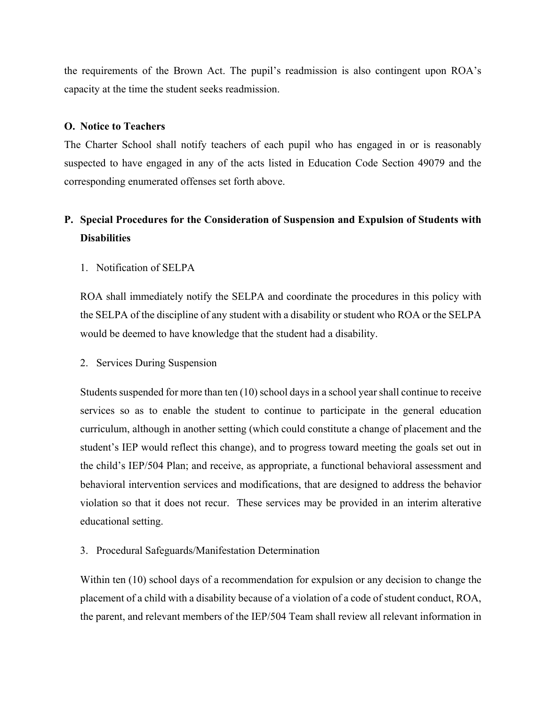the requirements of the Brown Act. The pupil's readmission is also contingent upon ROA's capacity at the time the student seeks readmission.

# **O. Notice to Teachers**

The Charter School shall notify teachers of each pupil who has engaged in or is reasonably suspected to have engaged in any of the acts listed in Education Code Section 49079 and the corresponding enumerated offenses set forth above.

# **P. Special Procedures for the Consideration of Suspension and Expulsion of Students with Disabilities**

1. Notification of SELPA

ROA shall immediately notify the SELPA and coordinate the procedures in this policy with the SELPA of the discipline of any student with a disability or student who ROA or the SELPA would be deemed to have knowledge that the student had a disability.

2. Services During Suspension

Students suspended for more than ten (10) school days in a school year shall continue to receive services so as to enable the student to continue to participate in the general education curriculum, although in another setting (which could constitute a change of placement and the student's IEP would reflect this change), and to progress toward meeting the goals set out in the child's IEP/504 Plan; and receive, as appropriate, a functional behavioral assessment and behavioral intervention services and modifications, that are designed to address the behavior violation so that it does not recur. These services may be provided in an interim alterative educational setting.

3. Procedural Safeguards/Manifestation Determination

Within ten (10) school days of a recommendation for expulsion or any decision to change the placement of a child with a disability because of a violation of a code of student conduct, ROA, the parent, and relevant members of the IEP/504 Team shall review all relevant information in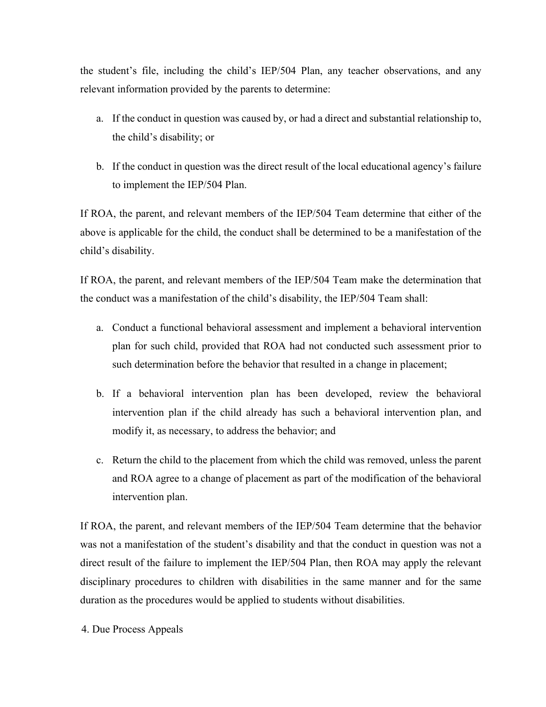the student's file, including the child's IEP/504 Plan, any teacher observations, and any relevant information provided by the parents to determine:

- a. If the conduct in question was caused by, or had a direct and substantial relationship to, the child's disability; or
- b. If the conduct in question was the direct result of the local educational agency's failure to implement the IEP/504 Plan.

If ROA, the parent, and relevant members of the IEP/504 Team determine that either of the above is applicable for the child, the conduct shall be determined to be a manifestation of the child's disability.

If ROA, the parent, and relevant members of the IEP/504 Team make the determination that the conduct was a manifestation of the child's disability, the IEP/504 Team shall:

- a. Conduct a functional behavioral assessment and implement a behavioral intervention plan for such child, provided that ROA had not conducted such assessment prior to such determination before the behavior that resulted in a change in placement;
- b. If a behavioral intervention plan has been developed, review the behavioral intervention plan if the child already has such a behavioral intervention plan, and modify it, as necessary, to address the behavior; and
- c. Return the child to the placement from which the child was removed, unless the parent and ROA agree to a change of placement as part of the modification of the behavioral intervention plan.

If ROA, the parent, and relevant members of the IEP/504 Team determine that the behavior was not a manifestation of the student's disability and that the conduct in question was not a direct result of the failure to implement the IEP/504 Plan, then ROA may apply the relevant disciplinary procedures to children with disabilities in the same manner and for the same duration as the procedures would be applied to students without disabilities.

4. Due Process Appeals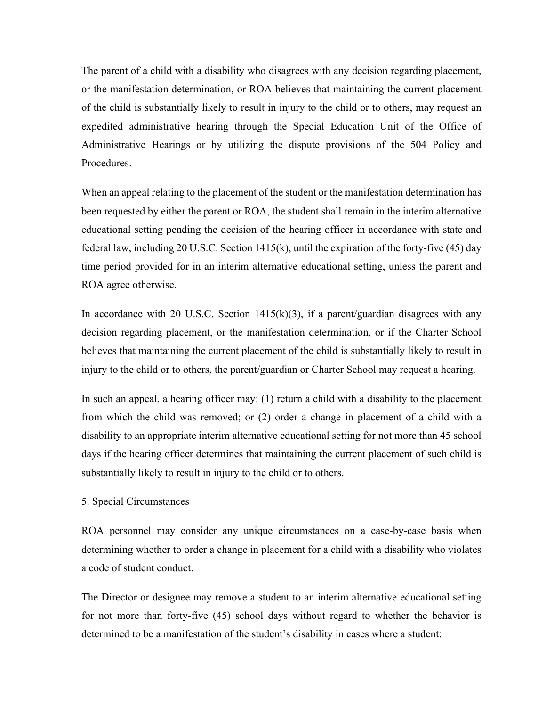The parent of a child with a disability who disagrees with any decision regarding placement, or the manifestation determination, or ROA believes that maintaining the current placement of the child is substantially likely to result in injury to the child or to others, may request an expedited administrative hearing through the Special Education Unit of the Office of Administrative Hearings or by utilizing the dispute provisions of the 504 Policy and Procedures.

When an appeal relating to the placement of the student or the manifestation determination has been requested by either the parent or ROA, the student shall remain in the interim alternative educational setting pending the decision of the hearing officer in accordance with state and federal law, including 20 U.S.C. Section 1415(k), until the expiration of the forty-five (45) day time period provided for in an interim alternative educational setting, unless the parent and ROA agree otherwise.

In accordance with 20 U.S.C. Section  $1415(k)(3)$ , if a parent/guardian disagrees with any decision regarding placement, or the manifestation determination, or if the Charter School believes that maintaining the current placement of the child is substantially likely to result in injury to the child or to others, the parent/guardian or Charter School may request a hearing.

In such an appeal, a hearing officer may: (1) return a child with a disability to the placement from which the child was removed; or (2) order a change in placement of a child with a disability to an appropriate interim alternative educational setting for not more than 45 school days if the hearing officer determines that maintaining the current placement of such child is substantially likely to result in injury to the child or to others.

#### 5. Special Circumstances

ROA personnel may consider any unique circumstances on a case-by-case basis when determining whether to order a change in placement for a child with a disability who violates a code of student conduct.

The Director or designee may remove a student to an interim alternative educational setting for not more than forty-five (45) school days without regard to whether the behavior is determined to be a manifestation of the student's disability in cases where a student: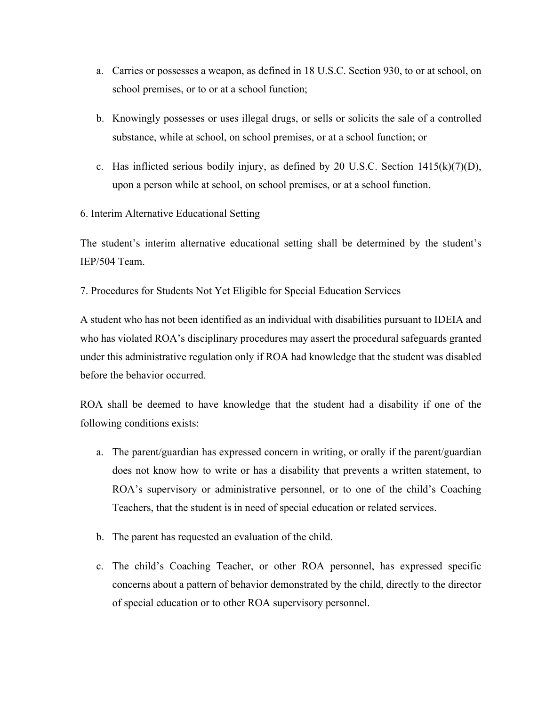- a. Carries or possesses a weapon, as defined in 18 U.S.C. Section 930, to or at school, on school premises, or to or at a school function;
- b. Knowingly possesses or uses illegal drugs, or sells or solicits the sale of a controlled substance, while at school, on school premises, or at a school function; or
- c. Has inflicted serious bodily injury, as defined by 20 U.S.C. Section  $1415(k)(7)(D)$ , upon a person while at school, on school premises, or at a school function.

6. Interim Alternative Educational Setting

The student's interim alternative educational setting shall be determined by the student's IEP/504 Team.

7. Procedures for Students Not Yet Eligible for Special Education Services

A student who has not been identified as an individual with disabilities pursuant to IDEIA and who has violated ROA's disciplinary procedures may assert the procedural safeguards granted under this administrative regulation only if ROA had knowledge that the student was disabled before the behavior occurred.

ROA shall be deemed to have knowledge that the student had a disability if one of the following conditions exists:

- a. The parent/guardian has expressed concern in writing, or orally if the parent/guardian does not know how to write or has a disability that prevents a written statement, to ROA's supervisory or administrative personnel, or to one of the child's Coaching Teachers, that the student is in need of special education or related services.
- b. The parent has requested an evaluation of the child.
- c. The child's Coaching Teacher, or other ROA personnel, has expressed specific concerns about a pattern of behavior demonstrated by the child, directly to the director of special education or to other ROA supervisory personnel.